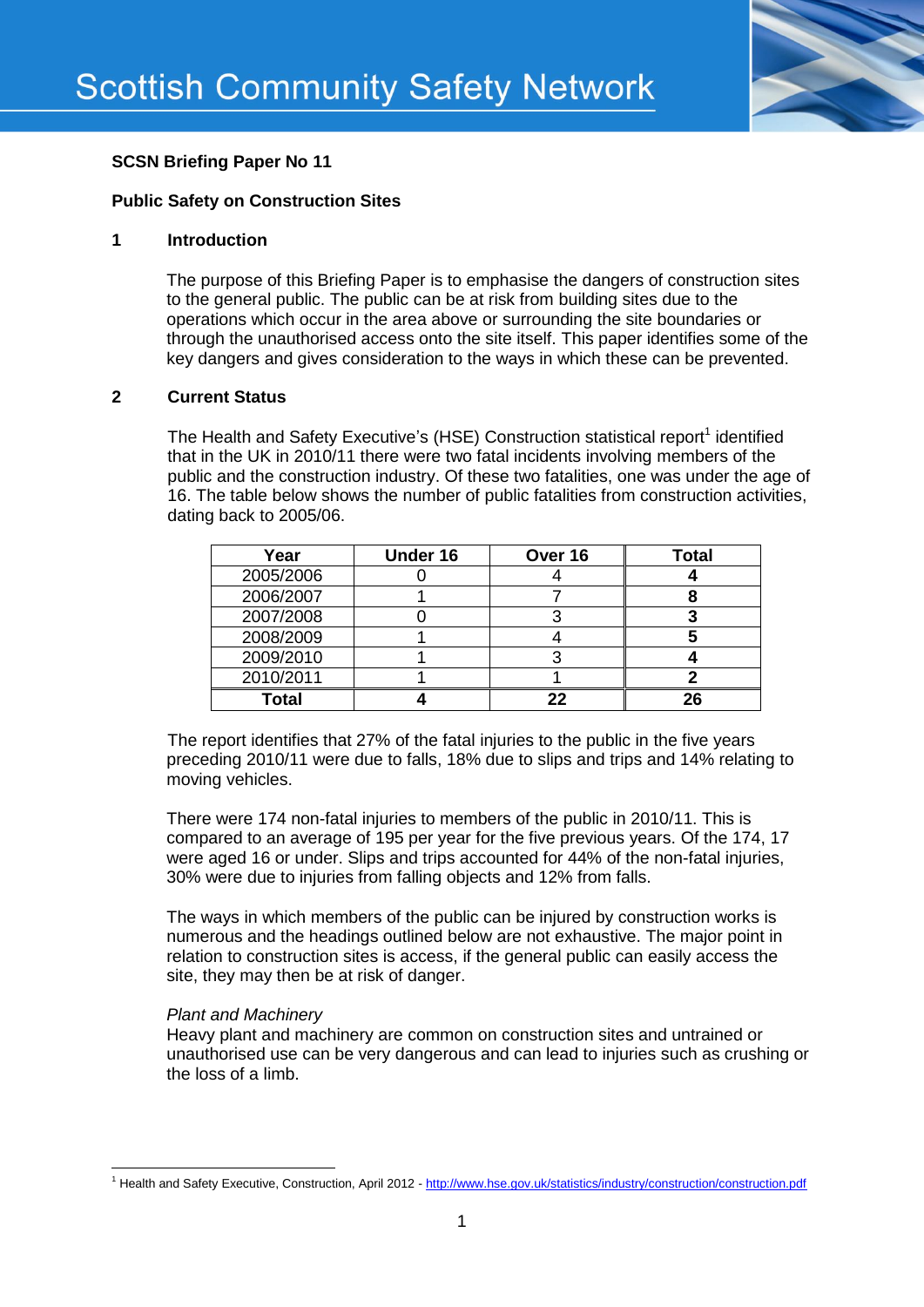

# **SCSN Briefing Paper No 11**

# **Public Safety on Construction Sites**

## **1 Introduction**

The purpose of this Briefing Paper is to emphasise the dangers of construction sites to the general public. The public can be at risk from building sites due to the operations which occur in the area above or surrounding the site boundaries or through the unauthorised access onto the site itself. This paper identifies some of the key dangers and gives consideration to the ways in which these can be prevented.

## **2 Current Status**

The Health and Safety Executive's (HSE) Construction statistical report<sup>1</sup> identified that in the UK in 2010/11 there were two fatal incidents involving members of the public and the construction industry. Of these two fatalities, one was under the age of 16. The table below shows the number of public fatalities from construction activities, dating back to 2005/06.

| Year         | <b>Under 16</b> | Over 16 | <b>Total</b> |
|--------------|-----------------|---------|--------------|
| 2005/2006    |                 |         |              |
| 2006/2007    |                 |         |              |
| 2007/2008    |                 |         |              |
| 2008/2009    |                 |         |              |
| 2009/2010    |                 |         |              |
| 2010/2011    |                 |         |              |
| <b>Total</b> |                 | 22      |              |

The report identifies that 27% of the fatal injuries to the public in the five years preceding 2010/11 were due to falls, 18% due to slips and trips and 14% relating to moving vehicles.

There were 174 non-fatal injuries to members of the public in 2010/11. This is compared to an average of 195 per year for the five previous years. Of the 174, 17 were aged 16 or under. Slips and trips accounted for 44% of the non-fatal injuries, 30% were due to injuries from falling objects and 12% from falls.

The ways in which members of the public can be injured by construction works is numerous and the headings outlined below are not exhaustive. The major point in relation to construction sites is access, if the general public can easily access the site, they may then be at risk of danger.

# *Plant and Machinery*

**.** 

Heavy plant and machinery are common on construction sites and untrained or unauthorised use can be very dangerous and can lead to injuries such as crushing or the loss of a limb.

<sup>&</sup>lt;sup>1</sup> Health and Safety Executive, Construction, April 2012 - <http://www.hse.gov.uk/statistics/industry/construction/construction.pdf>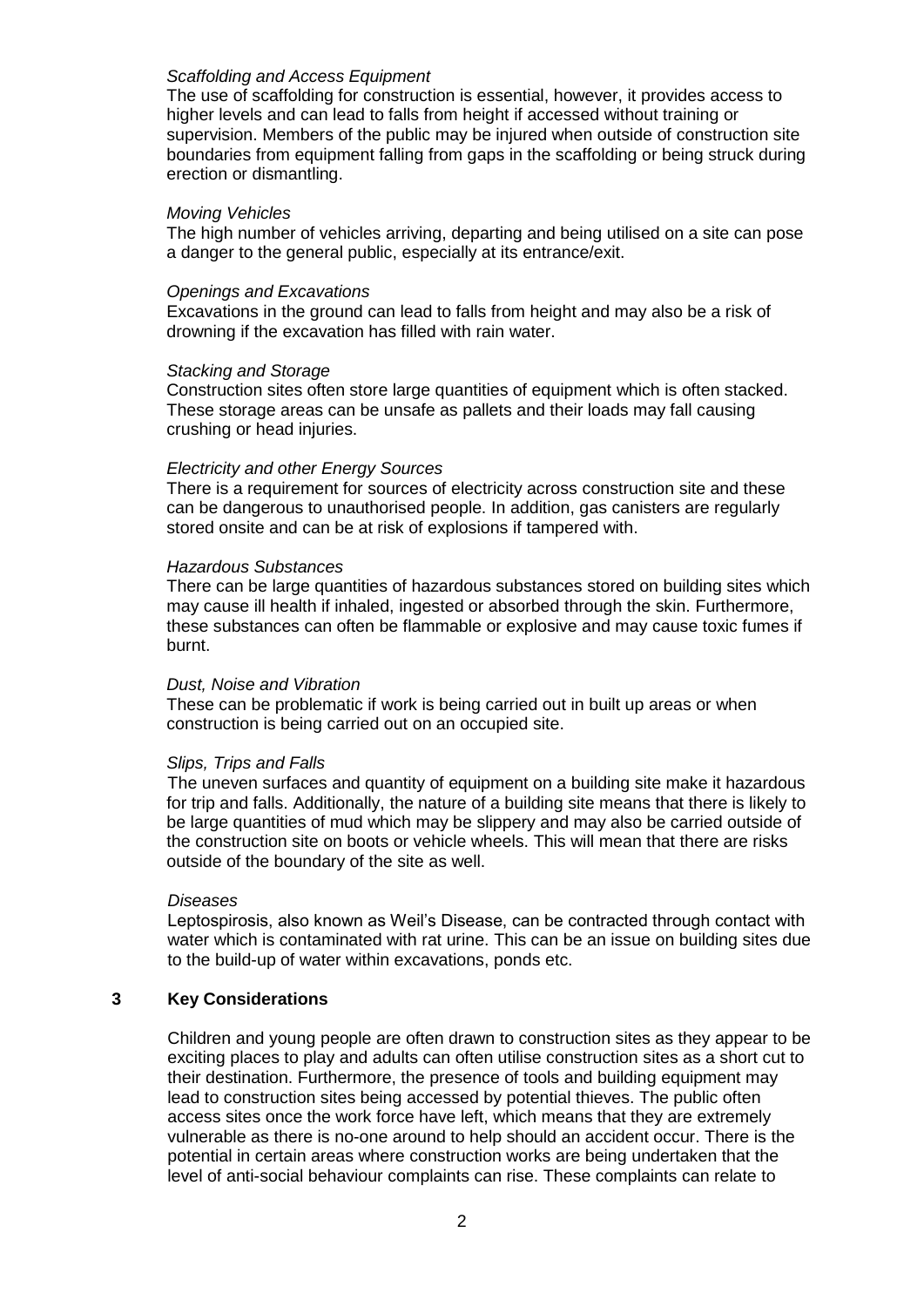### *Scaffolding and Access Equipment*

The use of scaffolding for construction is essential, however, it provides access to higher levels and can lead to falls from height if accessed without training or supervision. Members of the public may be injured when outside of construction site boundaries from equipment falling from gaps in the scaffolding or being struck during erection or dismantling.

#### *Moving Vehicles*

The high number of vehicles arriving, departing and being utilised on a site can pose a danger to the general public, especially at its entrance/exit.

#### *Openings and Excavations*

Excavations in the ground can lead to falls from height and may also be a risk of drowning if the excavation has filled with rain water.

#### *Stacking and Storage*

Construction sites often store large quantities of equipment which is often stacked. These storage areas can be unsafe as pallets and their loads may fall causing crushing or head injuries.

#### *Electricity and other Energy Sources*

There is a requirement for sources of electricity across construction site and these can be dangerous to unauthorised people. In addition, gas canisters are regularly stored onsite and can be at risk of explosions if tampered with.

#### *Hazardous Substances*

There can be large quantities of hazardous substances stored on building sites which may cause ill health if inhaled, ingested or absorbed through the skin. Furthermore, these substances can often be flammable or explosive and may cause toxic fumes if burnt.

#### *Dust, Noise and Vibration*

These can be problematic if work is being carried out in built up areas or when construction is being carried out on an occupied site.

## *Slips, Trips and Falls*

The uneven surfaces and quantity of equipment on a building site make it hazardous for trip and falls. Additionally, the nature of a building site means that there is likely to be large quantities of mud which may be slippery and may also be carried outside of the construction site on boots or vehicle wheels. This will mean that there are risks outside of the boundary of the site as well.

#### *Diseases*

Leptospirosis, also known as Weil's Disease, can be contracted through contact with water which is contaminated with rat urine. This can be an issue on building sites due to the build-up of water within excavations, ponds etc.

#### **3 Key Considerations**

Children and young people are often drawn to construction sites as they appear to be exciting places to play and adults can often utilise construction sites as a short cut to their destination. Furthermore, the presence of tools and building equipment may lead to construction sites being accessed by potential thieves. The public often access sites once the work force have left, which means that they are extremely vulnerable as there is no-one around to help should an accident occur. There is the potential in certain areas where construction works are being undertaken that the level of anti-social behaviour complaints can rise. These complaints can relate to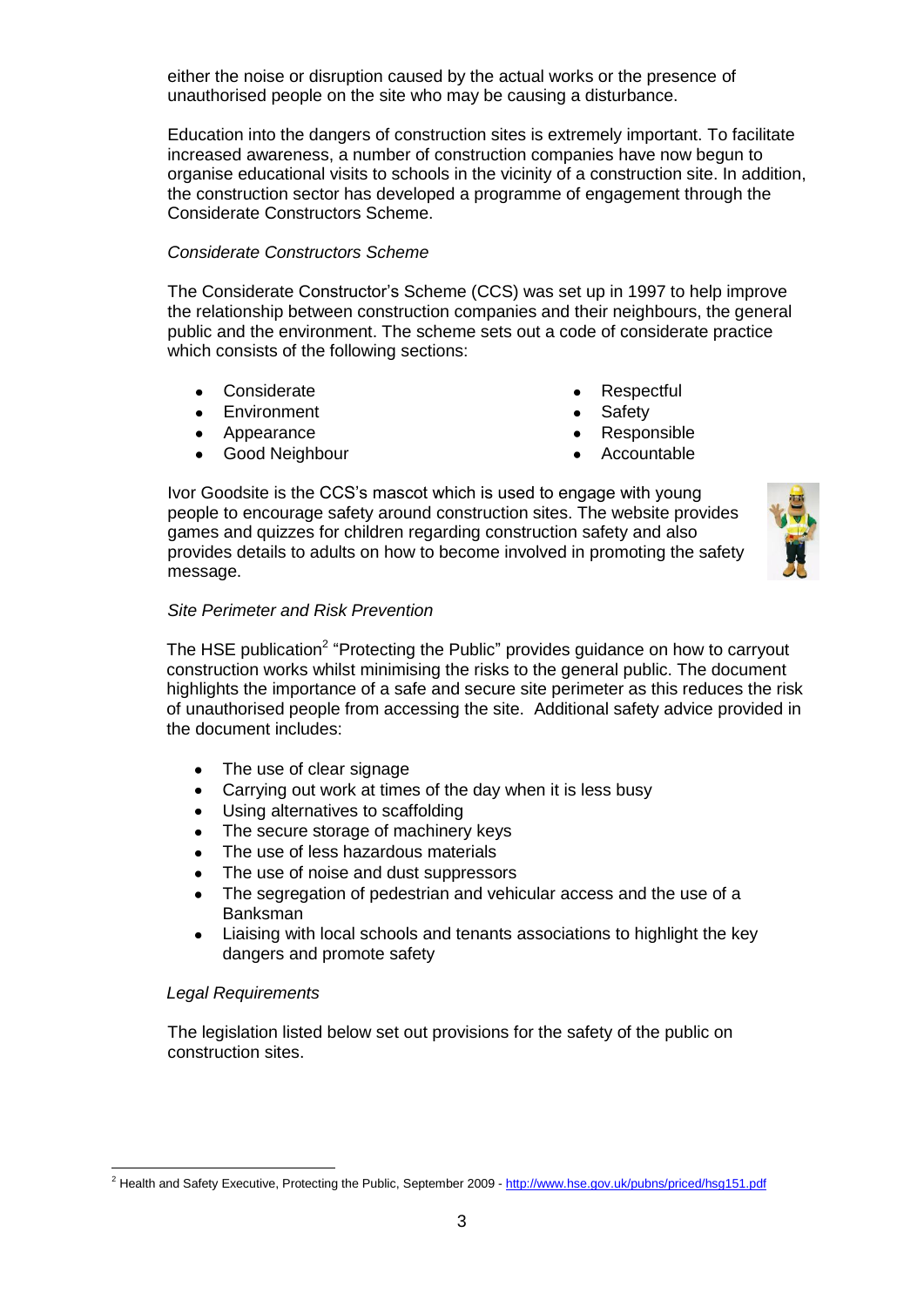either the noise or disruption caused by the actual works or the presence of unauthorised people on the site who may be causing a disturbance.

Education into the dangers of construction sites is extremely important. To facilitate increased awareness, a number of construction companies have now begun to organise educational visits to schools in the vicinity of a construction site. In addition, the construction sector has developed a programme of engagement through the Considerate Constructors Scheme.

## *Considerate Constructors Scheme*

The Considerate Constructor's Scheme (CCS) was set up in 1997 to help improve the relationship between construction companies and their neighbours, the general public and the environment. The scheme sets out a code of considerate practice which consists of the following sections:

- Considerate
- Environment
- Appearance
- Good Neighbour
- **Respectful**
- Safety
- Responsible
- Accountable

Ivor Goodsite is the CCS's mascot which is used to engage with young people to encourage safety around construction sites. The website provides games and quizzes for children regarding construction safety and also provides details to adults on how to become involved in promoting the safety message.



## *Site Perimeter and Risk Prevention*

The HSE publication<sup>2</sup> "Protecting the Public" provides guidance on how to carryout construction works whilst minimising the risks to the general public. The document highlights the importance of a safe and secure site perimeter as this reduces the risk of unauthorised people from accessing the site. Additional safety advice provided in the document includes:

- The use of clear signage
- Carrying out work at times of the day when it is less busy  $\bullet$
- Using alternatives to scaffolding  $\bullet$
- The secure storage of machinery keys
- The use of less hazardous materials
- The use of noise and dust suppressors
- The segregation of pedestrian and vehicular access and the use of a **Banksman**
- Liaising with local schools and tenants associations to highlight the key dangers and promote safety

## *Legal Requirements*

**.** 

The legislation listed below set out provisions for the safety of the public on construction sites.

<sup>&</sup>lt;sup>2</sup> Health and Safety Executive, Protecting the Public, September 2009 - <http://www.hse.gov.uk/pubns/priced/hsg151.pdf>